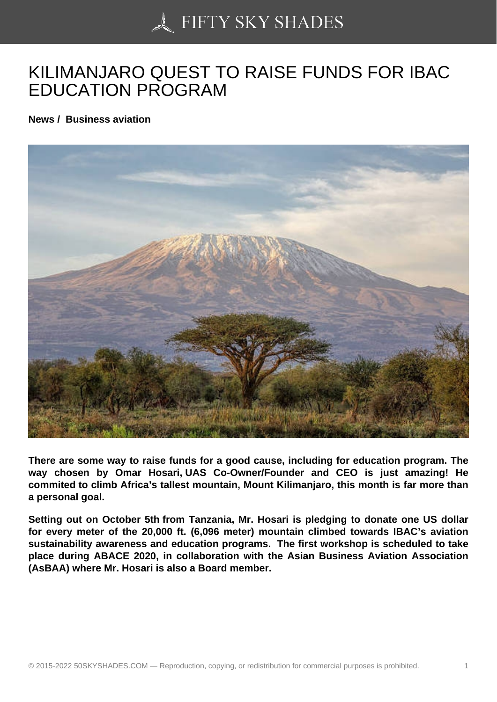## [KILIMANJARO QUEST](https://50skyshades.com) TO RAISE FUNDS FOR IBAC EDUCATION PROGRAM

News / Business aviation

There are some way to raise funds for a good cause, including for education program. The way chosen by Omar Hosari, UAS Co-Owner/Founder and CEO is just amazing! He commited to climb Africa's tallest mountain, Mount Kilimanjaro, this month is far more than a personal goal.

Setting out on October 5th from Tanzania, Mr. Hosari is pledging to donate one US dollar for every meter of the 20,000 ft. (6,096 meter) mountain climbed towards IBAC's aviation sustainability awareness and education programs. The first workshop is scheduled to take place during ABACE 2020, in collaboration with the Asian Business Aviation Association (AsBAA) where Mr. Hosari is also a Board member.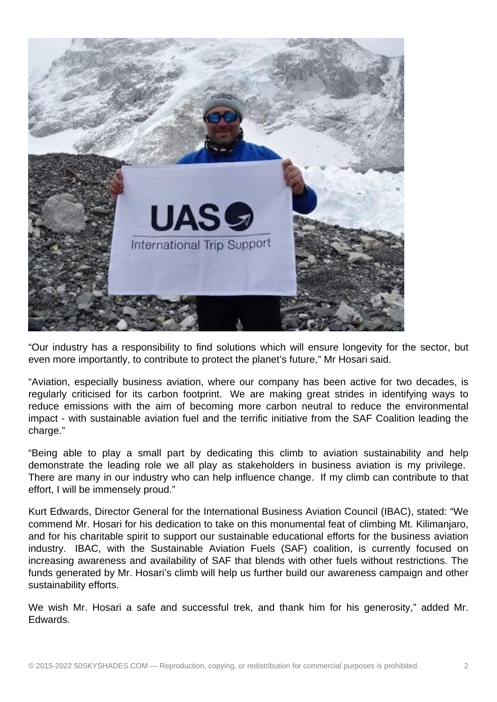

"Our industry has a responsibility to find solutions which will ensure longevity for the sector, but even more importantly, to contribute to protect the planet's future," Mr Hosari said.

"Aviation, especially business aviation, where our company has been active for two decades, is regularly criticised for its carbon footprint. We are making great strides in identifying ways to reduce emissions with the aim of becoming more carbon neutral to reduce the environmental impact - with sustainable aviation fuel and the terrific initiative from the SAF Coalition leading the charge."

"Being able to play a small part by dedicating this climb to aviation sustainability and help demonstrate the leading role we all play as stakeholders in business aviation is my privilege. There are many in our industry who can help influence change. If my climb can contribute to that effort, I will be immensely proud."

Kurt Edwards, Director General for the International Business Aviation Council (IBAC), stated: "We commend Mr. Hosari for his dedication to take on this monumental feat of climbing Mt. Kilimanjaro, and for his charitable spirit to support our sustainable educational efforts for the business aviation industry. IBAC, with the Sustainable Aviation Fuels (SAF) coalition, is currently focused on increasing awareness and availability of SAF that blends with other fuels without restrictions. The funds generated by Mr. Hosari's climb will help us further build our awareness campaign and other sustainability efforts.

We wish Mr. Hosari a safe and successful trek, and thank him for his generosity," added Mr. Edwards.